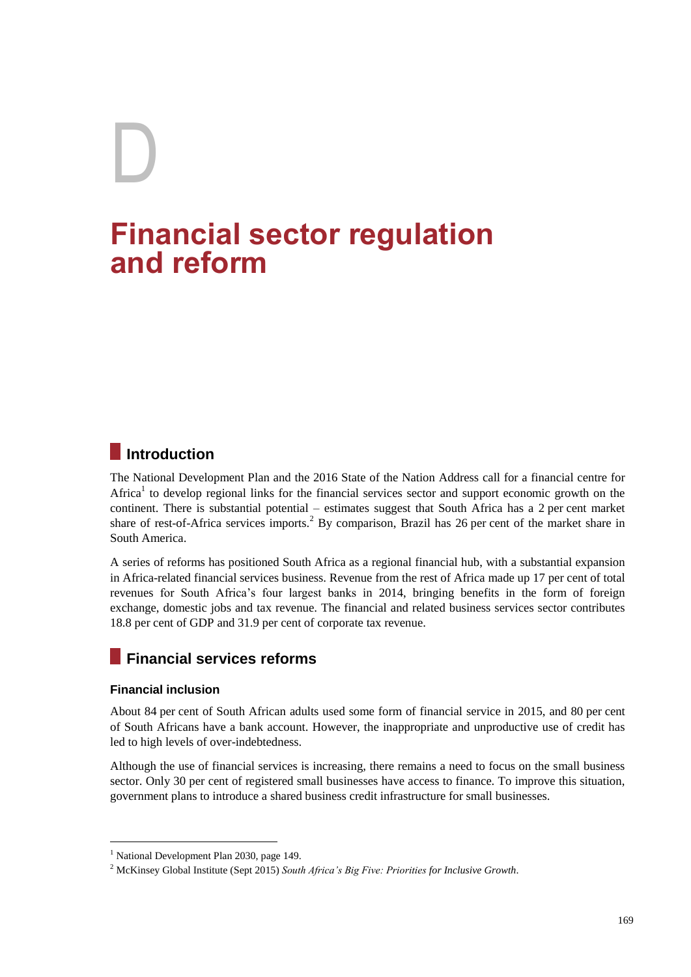# D **Financial sector regulation and reform**

# **Introduction**

The National Development Plan and the 2016 State of the Nation Address call for a financial centre for Africa<sup>1</sup> to develop regional links for the financial services sector and support economic growth on the continent. There is substantial potential – estimates suggest that South Africa has a 2 per cent market share of rest-of-Africa services imports.<sup>2</sup> By comparison, Brazil has 26 per cent of the market share in South America.

A series of reforms has positioned South Africa as a regional financial hub, with a substantial expansion in Africa-related financial services business. Revenue from the rest of Africa made up 17 per cent of total revenues for South Africa's four largest banks in 2014, bringing benefits in the form of foreign exchange, domestic jobs and tax revenue. The financial and related business services sector contributes 18.8 per cent of GDP and 31.9 per cent of corporate tax revenue.

# **Financial services reforms**

# **Financial inclusion**

<u>.</u>

About 84 per cent of South African adults used some form of financial service in 2015, and 80 per cent of South Africans have a bank account. However, the inappropriate and unproductive use of credit has led to high levels of over-indebtedness.

Although the use of financial services is increasing, there remains a need to focus on the small business sector. Only 30 per cent of registered small businesses have access to finance. To improve this situation, government plans to introduce a shared business credit infrastructure for small businesses.

<sup>&</sup>lt;sup>1</sup> National Development Plan 2030, page 149.

<sup>2</sup> McKinsey Global Institute (Sept 2015) *South Africa's Big Five: Priorities for Inclusive Growth*.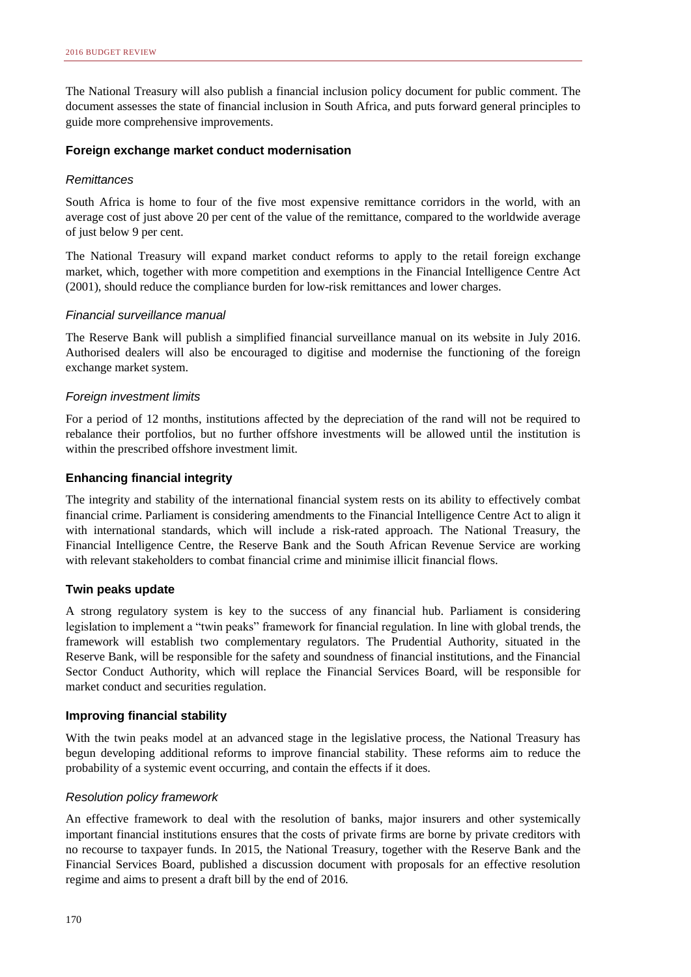The National Treasury will also publish a financial inclusion policy document for public comment. The document assesses the state of financial inclusion in South Africa, and puts forward general principles to guide more comprehensive improvements.

### **Foreign exchange market conduct modernisation**

### *Remittances*

South Africa is home to four of the five most expensive remittance corridors in the world, with an average cost of just above 20 per cent of the value of the remittance, compared to the worldwide average of just below 9 per cent.

The National Treasury will expand market conduct reforms to apply to the retail foreign exchange market, which, together with more competition and exemptions in the Financial Intelligence Centre Act (2001), should reduce the compliance burden for low-risk remittances and lower charges.

# *Financial surveillance manual*

The Reserve Bank will publish a simplified financial surveillance manual on its website in July 2016. Authorised dealers will also be encouraged to digitise and modernise the functioning of the foreign exchange market system.

# *Foreign investment limits*

For a period of 12 months, institutions affected by the depreciation of the rand will not be required to rebalance their portfolios, but no further offshore investments will be allowed until the institution is within the prescribed offshore investment limit.

# **Enhancing financial integrity**

The integrity and stability of the international financial system rests on its ability to effectively combat financial crime. Parliament is considering amendments to the Financial Intelligence Centre Act to align it with international standards, which will include a risk-rated approach. The National Treasury, the Financial Intelligence Centre, the Reserve Bank and the South African Revenue Service are working with relevant stakeholders to combat financial crime and minimise illicit financial flows.

#### **Twin peaks update**

A strong regulatory system is key to the success of any financial hub. Parliament is considering legislation to implement a "twin peaks" framework for financial regulation. In line with global trends, the framework will establish two complementary regulators. The Prudential Authority, situated in the Reserve Bank, will be responsible for the safety and soundness of financial institutions, and the Financial Sector Conduct Authority, which will replace the Financial Services Board, will be responsible for market conduct and securities regulation.

#### **Improving financial stability**

With the twin peaks model at an advanced stage in the legislative process, the National Treasury has begun developing additional reforms to improve financial stability. These reforms aim to reduce the probability of a systemic event occurring, and contain the effects if it does.

#### *Resolution policy framework*

An effective framework to deal with the resolution of banks, major insurers and other systemically important financial institutions ensures that the costs of private firms are borne by private creditors with no recourse to taxpayer funds. In 2015, the National Treasury, together with the Reserve Bank and the Financial Services Board, published a discussion document with proposals for an effective resolution regime and aims to present a draft bill by the end of 2016.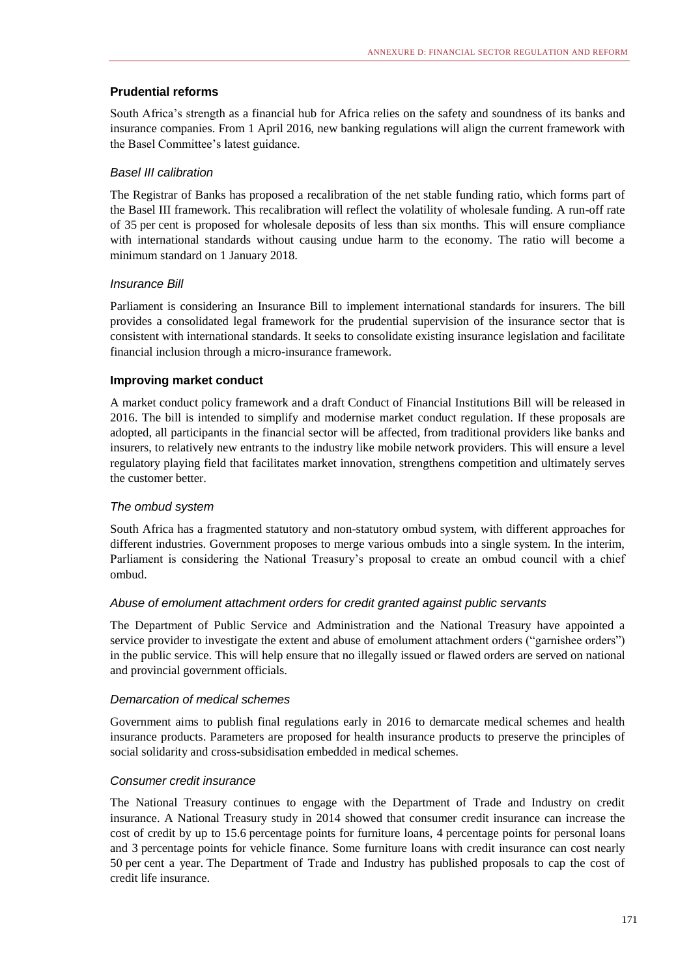# **Prudential reforms**

South Africa's strength as a financial hub for Africa relies on the safety and soundness of its banks and insurance companies. From 1 April 2016, new banking regulations will align the current framework with the Basel Committee's latest guidance.

# *Basel III calibration*

The Registrar of Banks has proposed a recalibration of the net stable funding ratio, which forms part of the Basel III framework. This recalibration will reflect the volatility of wholesale funding. A run-off rate of 35 per cent is proposed for wholesale deposits of less than six months. This will ensure compliance with international standards without causing undue harm to the economy. The ratio will become a minimum standard on 1 January 2018.

# *Insurance Bill*

Parliament is considering an Insurance Bill to implement international standards for insurers. The bill provides a consolidated legal framework for the prudential supervision of the insurance sector that is consistent with international standards. It seeks to consolidate existing insurance legislation and facilitate financial inclusion through a micro-insurance framework.

# **Improving market conduct**

A market conduct policy framework and a draft Conduct of Financial Institutions Bill will be released in 2016. The bill is intended to simplify and modernise market conduct regulation. If these proposals are adopted, all participants in the financial sector will be affected, from traditional providers like banks and insurers, to relatively new entrants to the industry like mobile network providers. This will ensure a level regulatory playing field that facilitates market innovation, strengthens competition and ultimately serves the customer better.

# *The ombud system*

South Africa has a fragmented statutory and non-statutory ombud system, with different approaches for different industries. Government proposes to merge various ombuds into a single system. In the interim, Parliament is considering the National Treasury's proposal to create an ombud council with a chief ombud.

# *Abuse of emolument attachment orders for credit granted against public servants*

The Department of Public Service and Administration and the National Treasury have appointed a service provider to investigate the extent and abuse of emolument attachment orders ("garnishee orders") in the public service. This will help ensure that no illegally issued or flawed orders are served on national and provincial government officials.

#### *Demarcation of medical schemes*

Government aims to publish final regulations early in 2016 to demarcate medical schemes and health insurance products. Parameters are proposed for health insurance products to preserve the principles of social solidarity and cross-subsidisation embedded in medical schemes.

#### *Consumer credit insurance*

The National Treasury continues to engage with the Department of Trade and Industry on credit insurance. A National Treasury study in 2014 showed that consumer credit insurance can increase the cost of credit by up to 15.6 percentage points for furniture loans, 4 percentage points for personal loans and 3 percentage points for vehicle finance. Some furniture loans with credit insurance can cost nearly 50 per cent a year. The Department of Trade and Industry has published proposals to cap the cost of credit life insurance.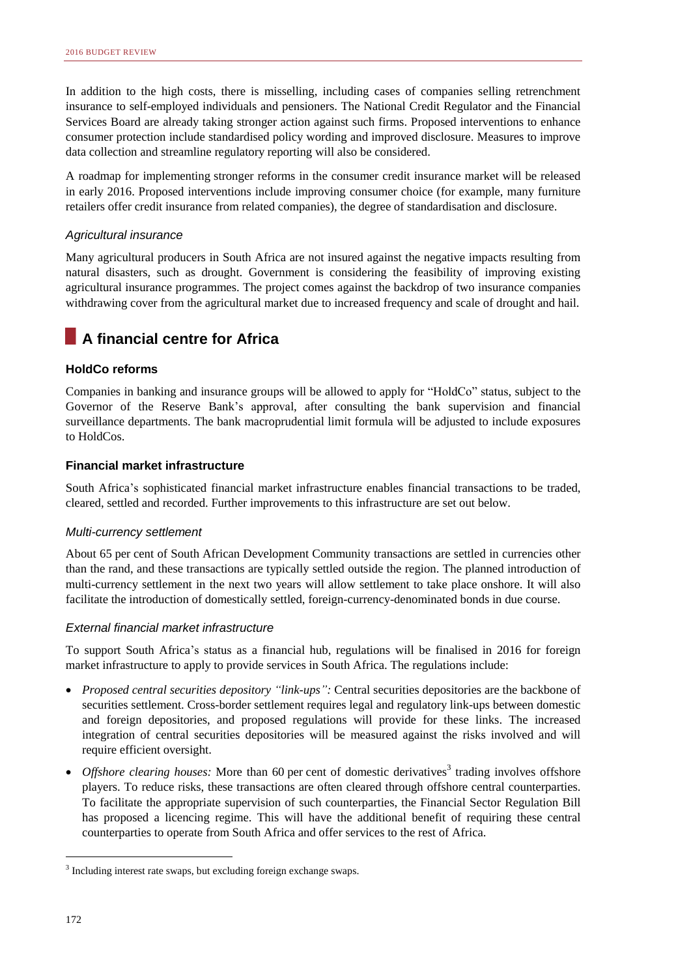In addition to the high costs, there is misselling, including cases of companies selling retrenchment insurance to self-employed individuals and pensioners. The National Credit Regulator and the Financial Services Board are already taking stronger action against such firms. Proposed interventions to enhance consumer protection include standardised policy wording and improved disclosure. Measures to improve data collection and streamline regulatory reporting will also be considered.

A roadmap for implementing stronger reforms in the consumer credit insurance market will be released in early 2016. Proposed interventions include improving consumer choice (for example, many furniture retailers offer credit insurance from related companies), the degree of standardisation and disclosure.

# *Agricultural insurance*

Many agricultural producers in South Africa are not insured against the negative impacts resulting from natural disasters, such as drought. Government is considering the feasibility of improving existing agricultural insurance programmes. The project comes against the backdrop of two insurance companies withdrawing cover from the agricultural market due to increased frequency and scale of drought and hail.

# **A financial centre for Africa**

# **HoldCo reforms**

Companies in banking and insurance groups will be allowed to apply for "HoldCo" status, subject to the Governor of the Reserve Bank's approval, after consulting the bank supervision and financial surveillance departments. The bank macroprudential limit formula will be adjusted to include exposures to HoldCos.

# **Financial market infrastructure**

South Africa's sophisticated financial market infrastructure enables financial transactions to be traded, cleared, settled and recorded. Further improvements to this infrastructure are set out below.

#### *Multi-currency settlement*

About 65 per cent of South African Development Community transactions are settled in currencies other than the rand, and these transactions are typically settled outside the region. The planned introduction of multi-currency settlement in the next two years will allow settlement to take place onshore. It will also facilitate the introduction of domestically settled, foreign-currency-denominated bonds in due course.

#### *External financial market infrastructure*

To support South Africa's status as a financial hub, regulations will be finalised in 2016 for foreign market infrastructure to apply to provide services in South Africa. The regulations include:

- *Proposed central securities depository "link-ups":* Central securities depositories are the backbone of securities settlement. Cross-border settlement requires legal and regulatory link-ups between domestic and foreign depositories, and proposed regulations will provide for these links. The increased integration of central securities depositories will be measured against the risks involved and will require efficient oversight.
- Offshore clearing houses: More than 60 per cent of domestic derivatives<sup>3</sup> trading involves offshore players. To reduce risks, these transactions are often cleared through offshore central counterparties. To facilitate the appropriate supervision of such counterparties, the Financial Sector Regulation Bill has proposed a licencing regime. This will have the additional benefit of requiring these central counterparties to operate from South Africa and offer services to the rest of Africa.

1

<sup>&</sup>lt;sup>3</sup> Including interest rate swaps, but excluding foreign exchange swaps.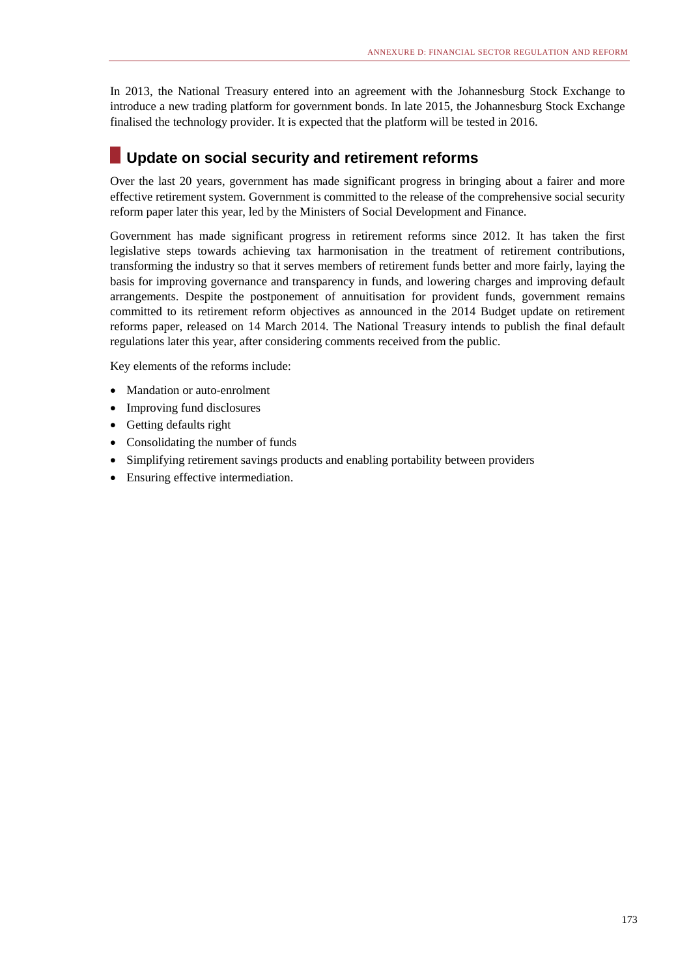In 2013, the National Treasury entered into an agreement with the Johannesburg Stock Exchange to introduce a new trading platform for government bonds. In late 2015, the Johannesburg Stock Exchange finalised the technology provider. It is expected that the platform will be tested in 2016.

# **Update on social security and retirement reforms**

Over the last 20 years, government has made significant progress in bringing about a fairer and more effective retirement system. Government is committed to the release of the comprehensive social security reform paper later this year, led by the Ministers of Social Development and Finance.

Government has made significant progress in retirement reforms since 2012. It has taken the first legislative steps towards achieving tax harmonisation in the treatment of retirement contributions, transforming the industry so that it serves members of retirement funds better and more fairly, laying the basis for improving governance and transparency in funds, and lowering charges and improving default arrangements. Despite the postponement of annuitisation for provident funds, government remains committed to its retirement reform objectives as announced in the 2014 Budget update on retirement reforms paper, released on 14 March 2014. The National Treasury intends to publish the final default regulations later this year, after considering comments received from the public.

Key elements of the reforms include:

- Mandation or auto-enrolment
- Improving fund disclosures
- Getting defaults right
- Consolidating the number of funds
- Simplifying retirement savings products and enabling portability between providers
- Ensuring effective intermediation.